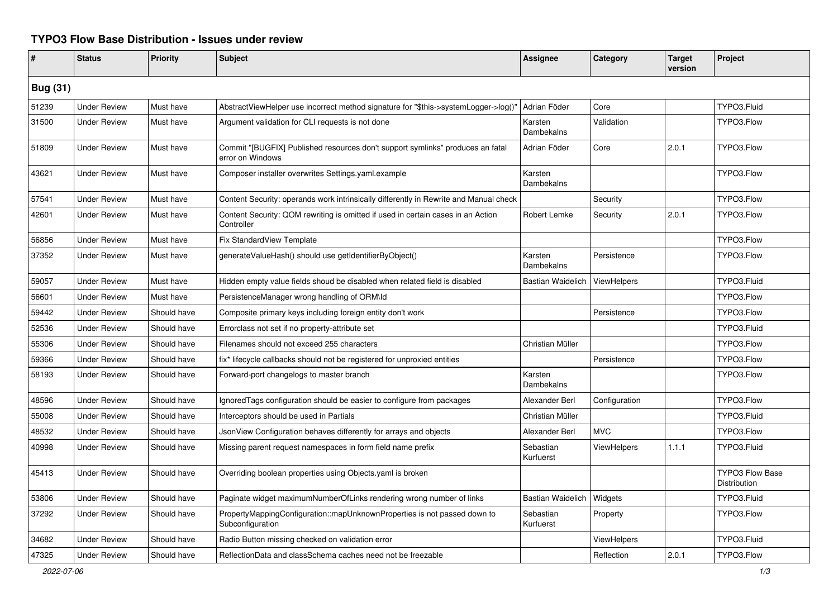## **TYPO3 Flow Base Distribution - Issues under review**

| #               | <b>Status</b>       | <b>Priority</b> | <b>Subject</b>                                                                                     | <b>Assignee</b>          | Category           | <b>Target</b><br>version | Project                                |  |
|-----------------|---------------------|-----------------|----------------------------------------------------------------------------------------------------|--------------------------|--------------------|--------------------------|----------------------------------------|--|
| <b>Bug (31)</b> |                     |                 |                                                                                                    |                          |                    |                          |                                        |  |
| 51239           | <b>Under Review</b> | Must have       | AbstractViewHelper use incorrect method signature for "\$this->systemLogger->log()"                | Adrian Föder             | Core               |                          | TYPO3.Fluid                            |  |
| 31500           | <b>Under Review</b> | Must have       | Argument validation for CLI requests is not done                                                   | Karsten<br>Dambekalns    | Validation         |                          | TYPO3.Flow                             |  |
| 51809           | <b>Under Review</b> | Must have       | Commit "[BUGFIX] Published resources don't support symlinks" produces an fatal<br>error on Windows | Adrian Föder             | Core               | 2.0.1                    | TYPO3.Flow                             |  |
| 43621           | <b>Under Review</b> | Must have       | Composer installer overwrites Settings.yaml.example                                                | Karsten<br>Dambekalns    |                    |                          | TYPO3.Flow                             |  |
| 57541           | <b>Under Review</b> | Must have       | Content Security: operands work intrinsically differently in Rewrite and Manual check              |                          | Security           |                          | TYPO3.Flow                             |  |
| 42601           | <b>Under Review</b> | Must have       | Content Security: QOM rewriting is omitted if used in certain cases in an Action<br>Controller     | Robert Lemke             | Security           | 2.0.1                    | TYPO3.Flow                             |  |
| 56856           | <b>Under Review</b> | Must have       | Fix StandardView Template                                                                          |                          |                    |                          | TYPO3.Flow                             |  |
| 37352           | <b>Under Review</b> | Must have       | generateValueHash() should use getIdentifierByObject()                                             | Karsten<br>Dambekalns    | Persistence        |                          | TYPO3.Flow                             |  |
| 59057           | <b>Under Review</b> | Must have       | Hidden empty value fields shoud be disabled when related field is disabled                         | <b>Bastian Waidelich</b> | <b>ViewHelpers</b> |                          | TYPO3.Fluid                            |  |
| 56601           | <b>Under Review</b> | Must have       | PersistenceManager wrong handling of ORM\ld                                                        |                          |                    |                          | TYPO3.Flow                             |  |
| 59442           | <b>Under Review</b> | Should have     | Composite primary keys including foreign entity don't work                                         |                          | Persistence        |                          | TYPO3.Flow                             |  |
| 52536           | <b>Under Review</b> | Should have     | Errorclass not set if no property-attribute set                                                    |                          |                    |                          | TYPO3.Fluid                            |  |
| 55306           | <b>Under Review</b> | Should have     | Filenames should not exceed 255 characters                                                         | Christian Müller         |                    |                          | TYPO3.Flow                             |  |
| 59366           | <b>Under Review</b> | Should have     | fix* lifecycle callbacks should not be registered for unproxied entities                           |                          | Persistence        |                          | TYPO3.Flow                             |  |
| 58193           | <b>Under Review</b> | Should have     | Forward-port changelogs to master branch                                                           | Karsten<br>Dambekalns    |                    |                          | TYPO3.Flow                             |  |
| 48596           | <b>Under Review</b> | Should have     | IgnoredTags configuration should be easier to configure from packages                              | Alexander Berl           | Configuration      |                          | TYPO3.Flow                             |  |
| 55008           | <b>Under Review</b> | Should have     | Interceptors should be used in Partials                                                            | Christian Müller         |                    |                          | TYPO3.Fluid                            |  |
| 48532           | <b>Under Review</b> | Should have     | JsonView Configuration behaves differently for arrays and objects                                  | Alexander Berl           | <b>MVC</b>         |                          | TYPO3.Flow                             |  |
| 40998           | <b>Under Review</b> | Should have     | Missing parent request namespaces in form field name prefix                                        | Sebastian<br>Kurfuerst   | <b>ViewHelpers</b> | 1.1.1                    | TYPO3.Fluid                            |  |
| 45413           | <b>Under Review</b> | Should have     | Overriding boolean properties using Objects yaml is broken                                         |                          |                    |                          | <b>TYPO3 Flow Base</b><br>Distribution |  |
| 53806           | <b>Under Review</b> | Should have     | Paginate widget maximumNumberOfLinks rendering wrong number of links                               | <b>Bastian Waidelich</b> | Widgets            |                          | TYPO3.Fluid                            |  |
| 37292           | <b>Under Review</b> | Should have     | PropertyMappingConfiguration::mapUnknownProperties is not passed down to<br>Subconfiguration       | Sebastian<br>Kurfuerst   | Property           |                          | TYPO3.Flow                             |  |
| 34682           | <b>Under Review</b> | Should have     | Radio Button missing checked on validation error                                                   |                          | <b>ViewHelpers</b> |                          | TYPO3.Fluid                            |  |
| 47325           | <b>Under Review</b> | Should have     | ReflectionData and classSchema caches need not be freezable                                        |                          | Reflection         | 2.0.1                    | TYPO3.Flow                             |  |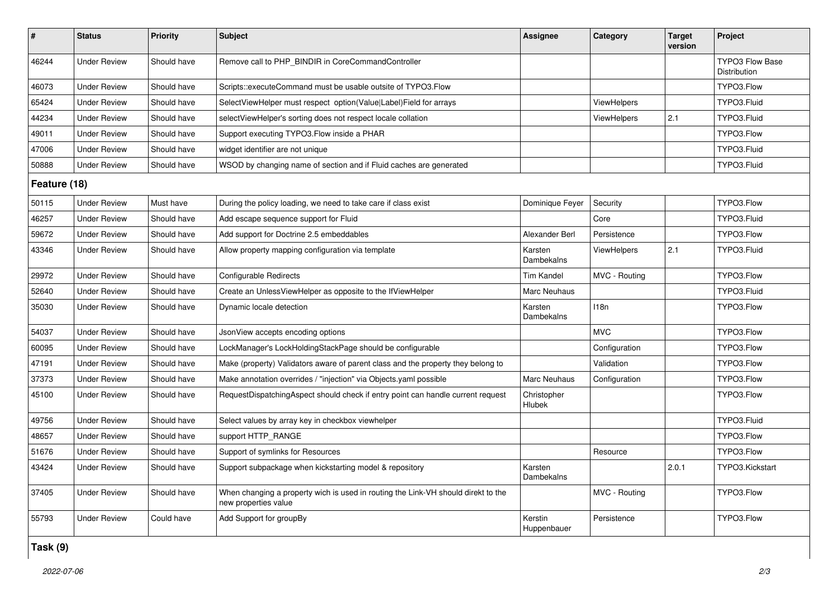| $\#$         | <b>Status</b>       | Priority    | <b>Subject</b>                                                                                            | <b>Assignee</b>              | Category      | <b>Target</b><br>version | Project                         |  |
|--------------|---------------------|-------------|-----------------------------------------------------------------------------------------------------------|------------------------------|---------------|--------------------------|---------------------------------|--|
| 46244        | <b>Under Review</b> | Should have | Remove call to PHP_BINDIR in CoreCommandController                                                        |                              |               |                          | TYPO3 Flow Base<br>Distribution |  |
| 46073        | <b>Under Review</b> | Should have | Scripts::executeCommand must be usable outsite of TYPO3.Flow                                              |                              |               |                          | TYPO3.Flow                      |  |
| 65424        | <b>Under Review</b> | Should have | SelectViewHelper must respect option(Value Label)Field for arrays                                         |                              | ViewHelpers   |                          | TYPO3.Fluid                     |  |
| 44234        | <b>Under Review</b> | Should have | selectViewHelper's sorting does not respect locale collation                                              |                              | ViewHelpers   | 2.1                      | TYPO3.Fluid                     |  |
| 49011        | <b>Under Review</b> | Should have | Support executing TYPO3. Flow inside a PHAR                                                               |                              |               |                          | TYPO3.Flow                      |  |
| 47006        | <b>Under Review</b> | Should have | widget identifier are not unique                                                                          |                              |               |                          | TYPO3.Fluid                     |  |
| 50888        | <b>Under Review</b> | Should have | WSOD by changing name of section and if Fluid caches are generated                                        |                              |               |                          | TYPO3.Fluid                     |  |
| Feature (18) |                     |             |                                                                                                           |                              |               |                          |                                 |  |
| 50115        | <b>Under Review</b> | Must have   | During the policy loading, we need to take care if class exist                                            | Dominique Feyer              | Security      |                          | TYPO3.Flow                      |  |
| 46257        | <b>Under Review</b> | Should have | Add escape sequence support for Fluid                                                                     |                              | Core          |                          | TYPO3.Fluid                     |  |
| 59672        | <b>Under Review</b> | Should have | Add support for Doctrine 2.5 embeddables                                                                  | Alexander Berl               | Persistence   |                          | TYPO3.Flow                      |  |
| 43346        | <b>Under Review</b> | Should have | Allow property mapping configuration via template                                                         | Karsten<br>Dambekalns        | ViewHelpers   | 2.1                      | TYPO3.Fluid                     |  |
| 29972        | <b>Under Review</b> | Should have | Configurable Redirects                                                                                    | Tim Kandel                   | MVC - Routing |                          | TYPO3.Flow                      |  |
| 52640        | <b>Under Review</b> | Should have | Create an UnlessViewHelper as opposite to the IfViewHelper                                                | Marc Neuhaus                 |               |                          | TYPO3.Fluid                     |  |
| 35030        | <b>Under Review</b> | Should have | Dynamic locale detection                                                                                  | Karsten<br><b>Dambekalns</b> | 118n          |                          | TYPO3.Flow                      |  |
| 54037        | <b>Under Review</b> | Should have | JsonView accepts encoding options                                                                         |                              | <b>MVC</b>    |                          | TYPO3.Flow                      |  |
| 60095        | <b>Under Review</b> | Should have | LockManager's LockHoldingStackPage should be configurable                                                 |                              | Configuration |                          | TYPO3.Flow                      |  |
| 47191        | <b>Under Review</b> | Should have | Make (property) Validators aware of parent class and the property they belong to                          |                              | Validation    |                          | TYPO3.Flow                      |  |
| 37373        | <b>Under Review</b> | Should have | Make annotation overrides / "injection" via Objects.yaml possible                                         | Marc Neuhaus                 | Configuration |                          | TYPO3.Flow                      |  |
| 45100        | <b>Under Review</b> | Should have | RequestDispatchingAspect should check if entry point can handle current request                           | Christopher<br>Hlubek        |               |                          | TYPO3.Flow                      |  |
| 49756        | <b>Under Review</b> | Should have | Select values by array key in checkbox viewhelper                                                         |                              |               |                          | TYPO3.Fluid                     |  |
| 48657        | <b>Under Review</b> | Should have | support HTTP_RANGE                                                                                        |                              |               |                          | TYPO3.Flow                      |  |
| 51676        | <b>Under Review</b> | Should have | Support of symlinks for Resources                                                                         |                              | Resource      |                          | TYPO3.Flow                      |  |
| 43424        | <b>Under Review</b> | Should have | Support subpackage when kickstarting model & repository                                                   | Karsten<br>Dambekalns        |               | 2.0.1                    | TYPO3.Kickstart                 |  |
| 37405        | <b>Under Review</b> | Should have | When changing a property wich is used in routing the Link-VH should direkt to the<br>new properties value |                              | MVC - Routing |                          | TYPO3.Flow                      |  |
| 55793        | <b>Under Review</b> | Could have  | Add Support for groupBy                                                                                   | Kerstin<br>Huppenbauer       | Persistence   |                          | TYPO3.Flow                      |  |